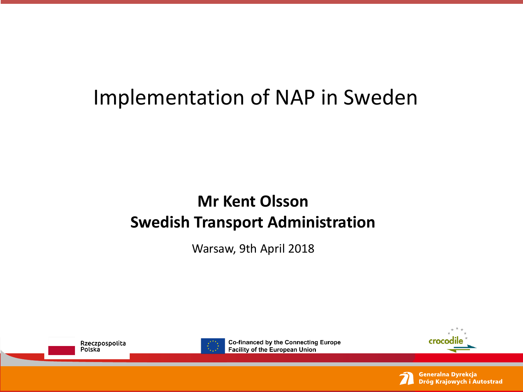# Implementation of NAP in Sweden

#### **Mr Kent Olsson Swedish Transport Administration**

Warsaw, 9th April 2018





**Co-financed by the Connecting Europe Facility of the European Union** 





Generalna Dyrekcja Dróg Krajowych i Autostrad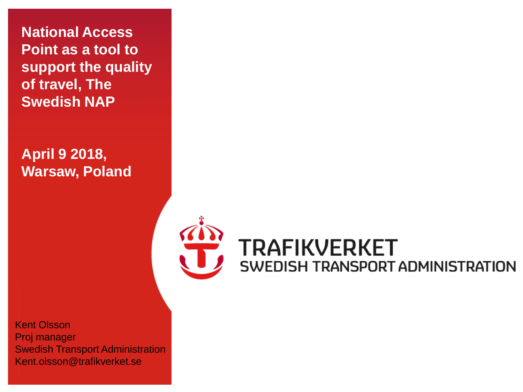**National Access Point as a tool to support the quality of travel, The Swedish NAP**

**April 9 2018, Warsaw, Poland**



TMARL 0143 Presentation engelsk van de latinsk van de latinsk van de latinsk van de latinsk van de latinsk van<br>Tussentation en de latinsk van de latinsk van de latinsk van de latinsk van de latinsk van de latinsk van de l<br> Kent Olsson Proj manager Swedish Transport Administration Kent.olsson@trafikverket.se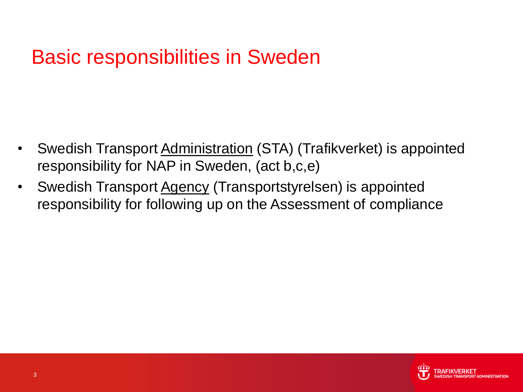# Basic responsibilities in Sweden

- Swedish Transport Administration (STA) (Trafikverket) is appointed responsibility for NAP in Sweden, (act b,c,e)
- Swedish Transport Agency (Transportstyrelsen) is appointed responsibility for following up on the Assessment of compliance

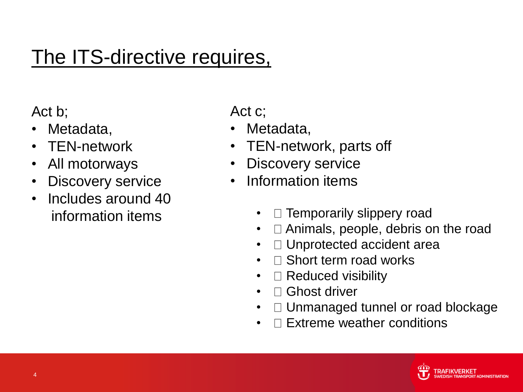# The ITS-directive requires,

Act b;

- Metadata,
- TEN-network
- All motorways
- Discovery service
- Includes around 40 information items

Act c;

- Metadata,
- TEN-network, parts off
- Discovery service
- Information items
	- $\Box$  Temporarily slippery road
	- $\Box$  Animals, people, debris on the road
	- $\Box$  Unprotected accident area
	- $\Box$  Short term road works
	- $\Box$  Reduced visibility
	- $\Box$  Ghost driver
	- $\Box$  Unmanaged tunnel or road blockage
	- Extreme weather conditions

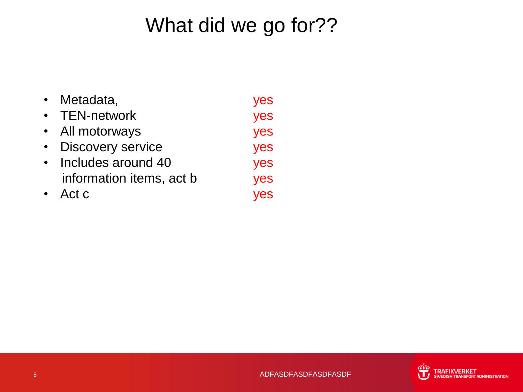# What did we go for??

- Metadata, yes • TEN-network yes
- All motorways yes
- Discovery service yes
- Includes around 40 yes information items, act b yes
- Act c yes

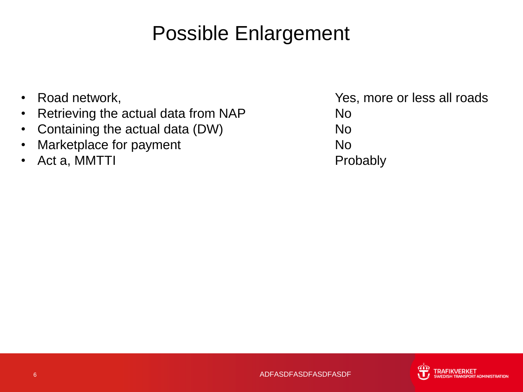# Possible Enlargement

- 
- Retrieving the actual data from NAP No
- Containing the actual data (DW) No
- Marketplace for payment **No. 1996** No.
- Act a, MMTTI Probably

• Road network,  $\bullet$  Road network,

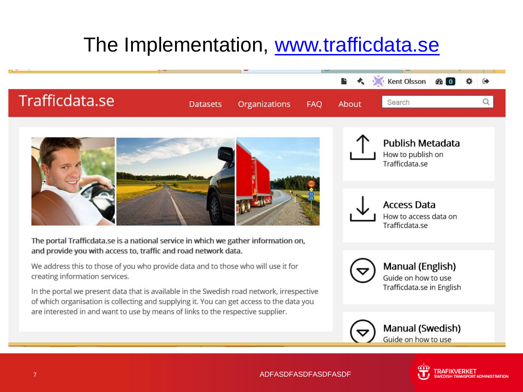# The Implementation, [www.trafficdata.se](http://www.trafficdata.se/)

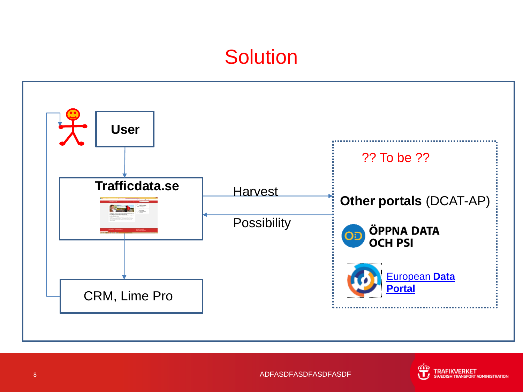### **Solution**



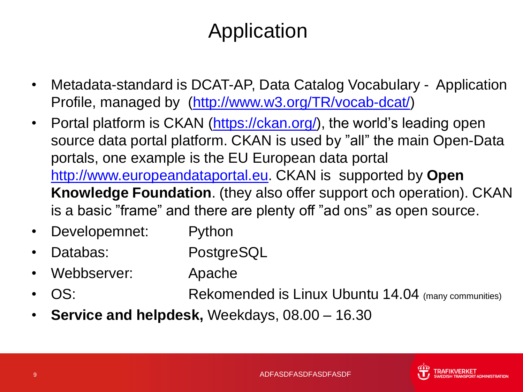# Application

- Metadata-standard is DCAT-AP, Data Catalog Vocabulary Application Profile, managed by ([http://www.w3.org/TR/vocab-dcat/\)](http://www.w3.org/TR/vocab-dcat/)
- Portal platform is CKAN [\(https://ckan.org/\)](https://ckan.org/), the world's leading open source data portal platform. CKAN is used by "all" the main Open-Data portals, one example is the EU European data portal [http://www.europeandataportal.eu](http://www.europeandataportal.eu/). CKAN is supported by **Open Knowledge Foundation**. (they also offer support och operation). CKAN is a basic "frame" and there are plenty off "ad ons" as open source.
- Developemnet: Python
- Databas: PostgreSQL
- Webbserver: Apache
- OS: Rekomended is Linux Ubuntu 14.04 (many communities)
- **Service and helpdesk,** Weekdays, 08.00 16.30

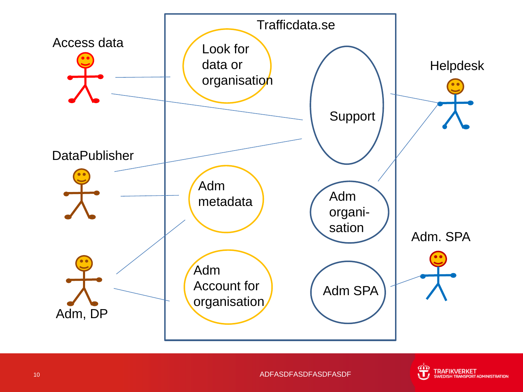

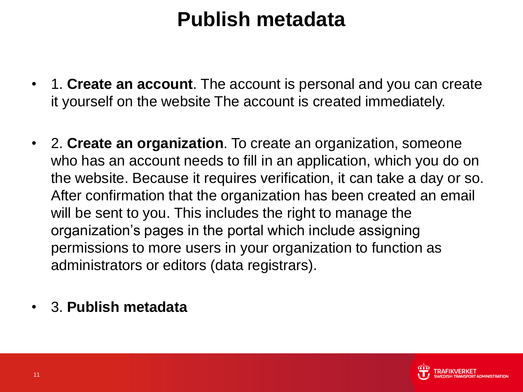# **Publish metadata**

- 1. **Create an account**. The account is personal and you can create it yourself on the website The account is created immediately.
- 2. **Create an organization**. To create an organization, someone who has an account needs to fill in an application, which you do on the website. Because it requires verification, it can take a day or so. After confirmation that the organization has been created an email will be sent to you. This includes the right to manage the organization's pages in the portal which include assigning permissions to more users in your organization to function as administrators or editors (data registrars).
- 3. **Publish metadata**

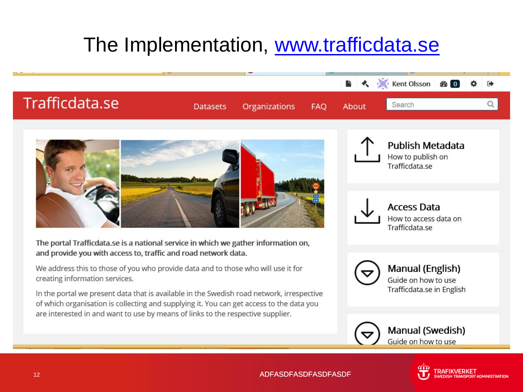# The Implementation, [www.trafficdata.se](http://www.trafficdata.se/)

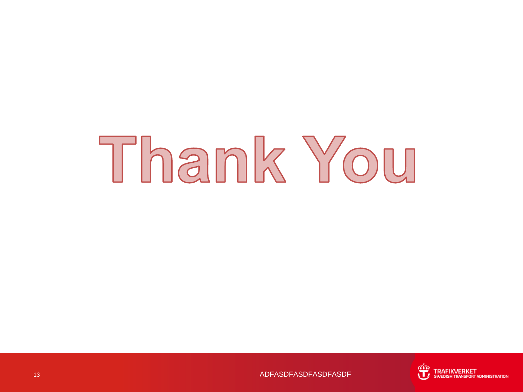# Thank You



13 ADFASDFASDFASDFASDF